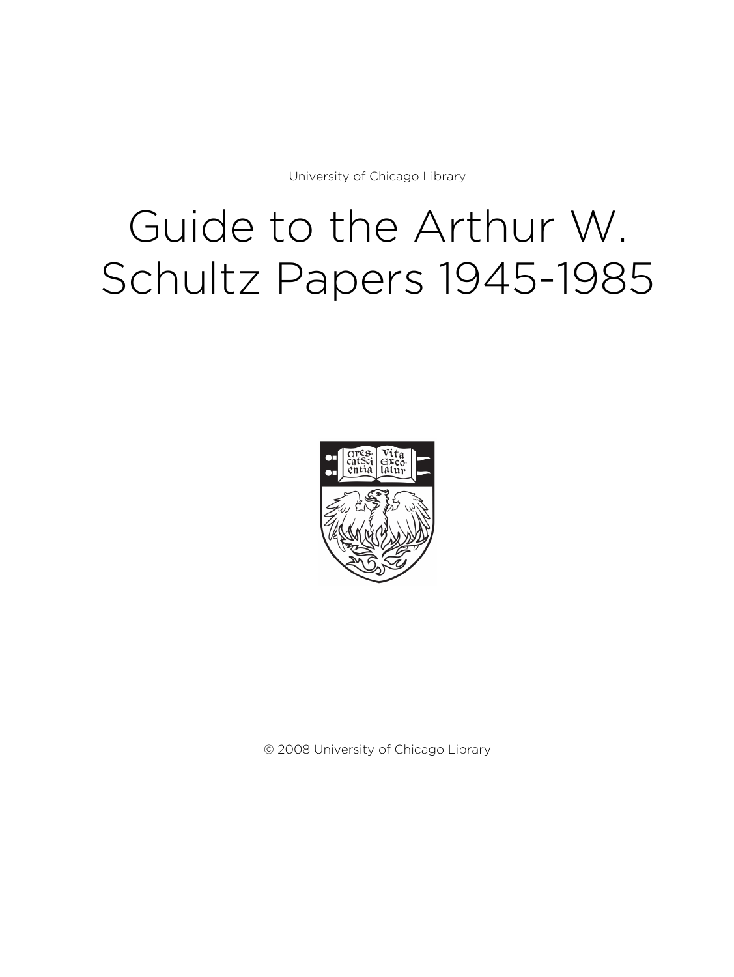University of Chicago Library

# Guide to the Arthur W. Schultz Papers 1945-1985



© 2008 University of Chicago Library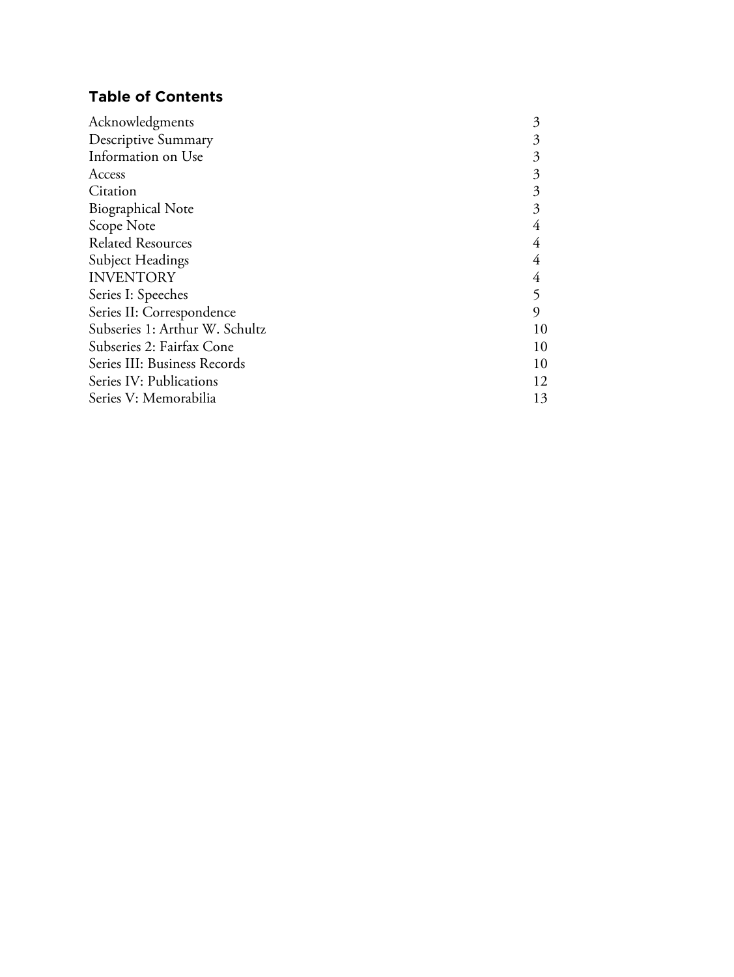# **Table of Contents**

| Acknowledgments                | 3  |
|--------------------------------|----|
| <b>Descriptive Summary</b>     | 3  |
| Information on Use             | 3  |
| Access                         | 3  |
| Citation                       | 3  |
| <b>Biographical Note</b>       | 3  |
| Scope Note                     | 4  |
| <b>Related Resources</b>       | 4  |
| Subject Headings               | 4  |
| <b>INVENTORY</b>               | 4  |
| Series I: Speeches             | 5  |
| Series II: Correspondence      | 9  |
| Subseries 1: Arthur W. Schultz | 10 |
| Subseries 2: Fairfax Cone      | 10 |
| Series III: Business Records   | 10 |
| Series IV: Publications        | 12 |
| Series V: Memorabilia          | 13 |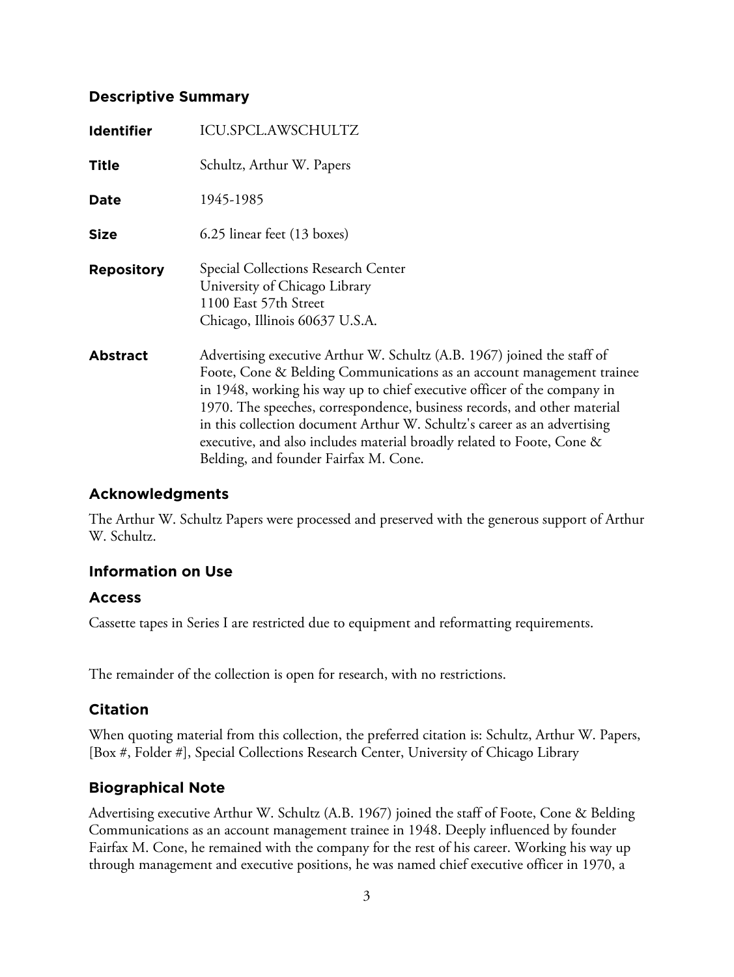## **Descriptive Summary**

| <b>Identifier</b> | ICU.SPCL.AWSCHULTZ                                                                                                                                                                                                                                                                                                                                                                                                                                                                                      |
|-------------------|---------------------------------------------------------------------------------------------------------------------------------------------------------------------------------------------------------------------------------------------------------------------------------------------------------------------------------------------------------------------------------------------------------------------------------------------------------------------------------------------------------|
| <b>Title</b>      | Schultz, Arthur W. Papers                                                                                                                                                                                                                                                                                                                                                                                                                                                                               |
| Date              | 1945-1985                                                                                                                                                                                                                                                                                                                                                                                                                                                                                               |
| <b>Size</b>       | 6.25 linear feet (13 boxes)                                                                                                                                                                                                                                                                                                                                                                                                                                                                             |
| <b>Repository</b> | Special Collections Research Center<br>University of Chicago Library<br>1100 East 57th Street<br>Chicago, Illinois 60637 U.S.A.                                                                                                                                                                                                                                                                                                                                                                         |
| <b>Abstract</b>   | Advertising executive Arthur W. Schultz (A.B. 1967) joined the staff of<br>Foote, Cone & Belding Communications as an account management trainee<br>in 1948, working his way up to chief executive officer of the company in<br>1970. The speeches, correspondence, business records, and other material<br>in this collection document Arthur W. Schultz's career as an advertising<br>executive, and also includes material broadly related to Foote, Cone &<br>Belding, and founder Fairfax M. Cone. |

## **Acknowledgments**

The Arthur W. Schultz Papers were processed and preserved with the generous support of Arthur W. Schultz.

## **Information on Use**

## **Access**

Cassette tapes in Series I are restricted due to equipment and reformatting requirements.

The remainder of the collection is open for research, with no restrictions.

## **Citation**

When quoting material from this collection, the preferred citation is: Schultz, Arthur W. Papers, [Box #, Folder #], Special Collections Research Center, University of Chicago Library

## **Biographical Note**

Advertising executive Arthur W. Schultz (A.B. 1967) joined the staff of Foote, Cone & Belding Communications as an account management trainee in 1948. Deeply influenced by founder Fairfax M. Cone, he remained with the company for the rest of his career. Working his way up through management and executive positions, he was named chief executive officer in 1970, a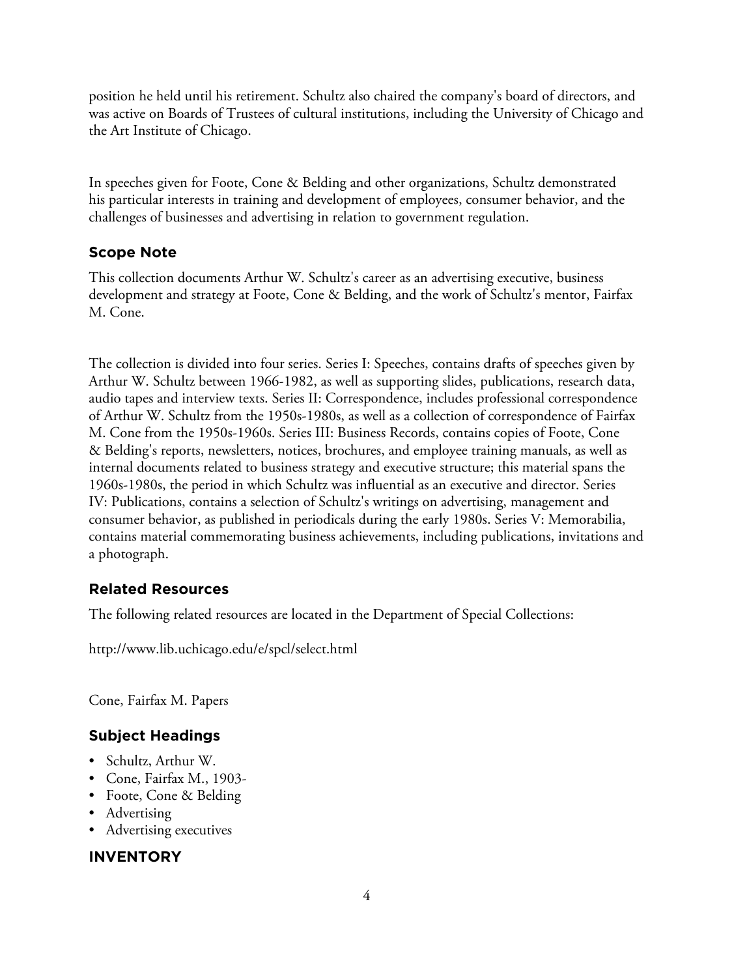position he held until his retirement. Schultz also chaired the company's board of directors, and was active on Boards of Trustees of cultural institutions, including the University of Chicago and the Art Institute of Chicago.

In speeches given for Foote, Cone & Belding and other organizations, Schultz demonstrated his particular interests in training and development of employees, consumer behavior, and the challenges of businesses and advertising in relation to government regulation.

# **Scope Note**

This collection documents Arthur W. Schultz's career as an advertising executive, business development and strategy at Foote, Cone & Belding, and the work of Schultz's mentor, Fairfax M. Cone.

The collection is divided into four series. Series I: Speeches, contains drafts of speeches given by Arthur W. Schultz between 1966-1982, as well as supporting slides, publications, research data, audio tapes and interview texts. Series II: Correspondence, includes professional correspondence of Arthur W. Schultz from the 1950s-1980s, as well as a collection of correspondence of Fairfax M. Cone from the 1950s-1960s. Series III: Business Records, contains copies of Foote, Cone & Belding's reports, newsletters, notices, brochures, and employee training manuals, as well as internal documents related to business strategy and executive structure; this material spans the 1960s-1980s, the period in which Schultz was influential as an executive and director. Series IV: Publications, contains a selection of Schultz's writings on advertising, management and consumer behavior, as published in periodicals during the early 1980s. Series V: Memorabilia, contains material commemorating business achievements, including publications, invitations and a photograph.

# **Related Resources**

The following related resources are located in the Department of Special Collections:

http://www.lib.uchicago.edu/e/spcl/select.html

Cone, Fairfax M. Papers

# **Subject Headings**

- Schultz, Arthur W.
- Cone, Fairfax M., 1903-
- Foote, Cone & Belding
- Advertising
- Advertising executives

# **INVENTORY**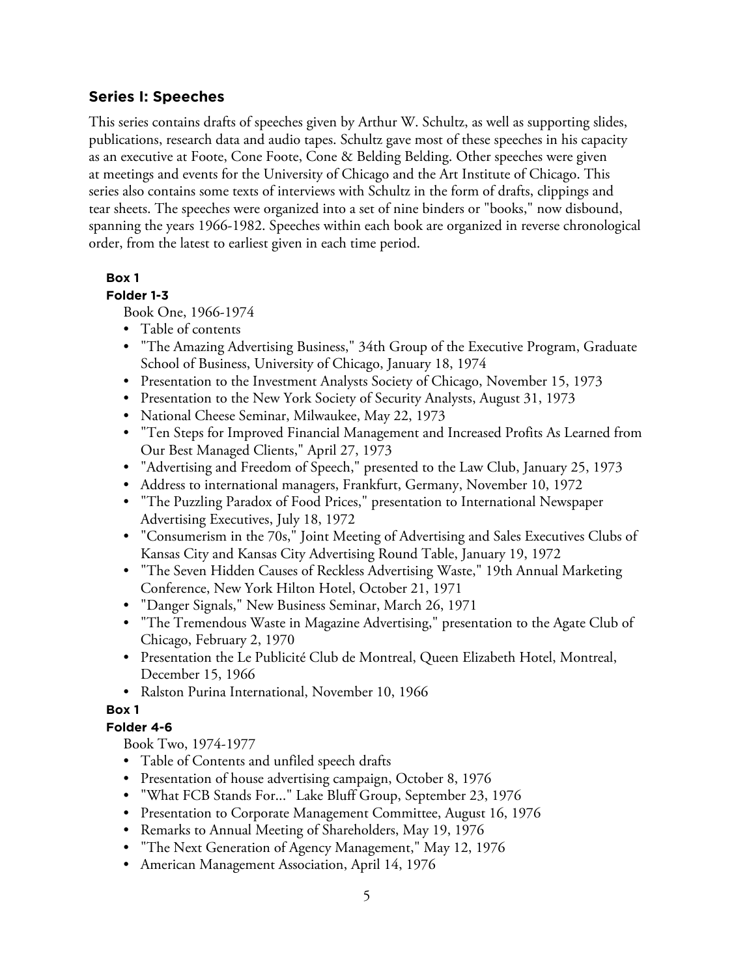## **Series I: Speeches**

This series contains drafts of speeches given by Arthur W. Schultz, as well as supporting slides, publications, research data and audio tapes. Schultz gave most of these speeches in his capacity as an executive at Foote, Cone Foote, Cone & Belding Belding. Other speeches were given at meetings and events for the University of Chicago and the Art Institute of Chicago. This series also contains some texts of interviews with Schultz in the form of drafts, clippings and tear sheets. The speeches were organized into a set of nine binders or "books," now disbound, spanning the years 1966-1982. Speeches within each book are organized in reverse chronological order, from the latest to earliest given in each time period.

## **Box 1**

## **Folder 1-3**

Book One, 1966-1974

- Table of contents
- "The Amazing Advertising Business," 34th Group of the Executive Program, Graduate School of Business, University of Chicago, January 18, 1974
- Presentation to the Investment Analysts Society of Chicago, November 15, 1973
- Presentation to the New York Society of Security Analysts, August 31, 1973
- National Cheese Seminar, Milwaukee, May 22, 1973
- "Ten Steps for Improved Financial Management and Increased Profits As Learned from Our Best Managed Clients," April 27, 1973
- "Advertising and Freedom of Speech," presented to the Law Club, January 25, 1973
- Address to international managers, Frankfurt, Germany, November 10, 1972
- "The Puzzling Paradox of Food Prices," presentation to International Newspaper Advertising Executives, July 18, 1972
- "Consumerism in the 70s," Joint Meeting of Advertising and Sales Executives Clubs of Kansas City and Kansas City Advertising Round Table, January 19, 1972
- "The Seven Hidden Causes of Reckless Advertising Waste," 19th Annual Marketing Conference, New York Hilton Hotel, October 21, 1971
- "Danger Signals," New Business Seminar, March 26, 1971
- "The Tremendous Waste in Magazine Advertising," presentation to the Agate Club of Chicago, February 2, 1970
- Presentation the Le Publicité Club de Montreal, Queen Elizabeth Hotel, Montreal, December 15, 1966
- Ralston Purina International, November 10, 1966

## **Box 1**

## **Folder 4-6**

Book Two, 1974-1977

- Table of Contents and unfiled speech drafts
- Presentation of house advertising campaign, October 8, 1976
- "What FCB Stands For..." Lake Bluff Group, September 23, 1976
- Presentation to Corporate Management Committee, August 16, 1976
- Remarks to Annual Meeting of Shareholders, May 19, 1976
- "The Next Generation of Agency Management," May 12, 1976
- American Management Association, April 14, 1976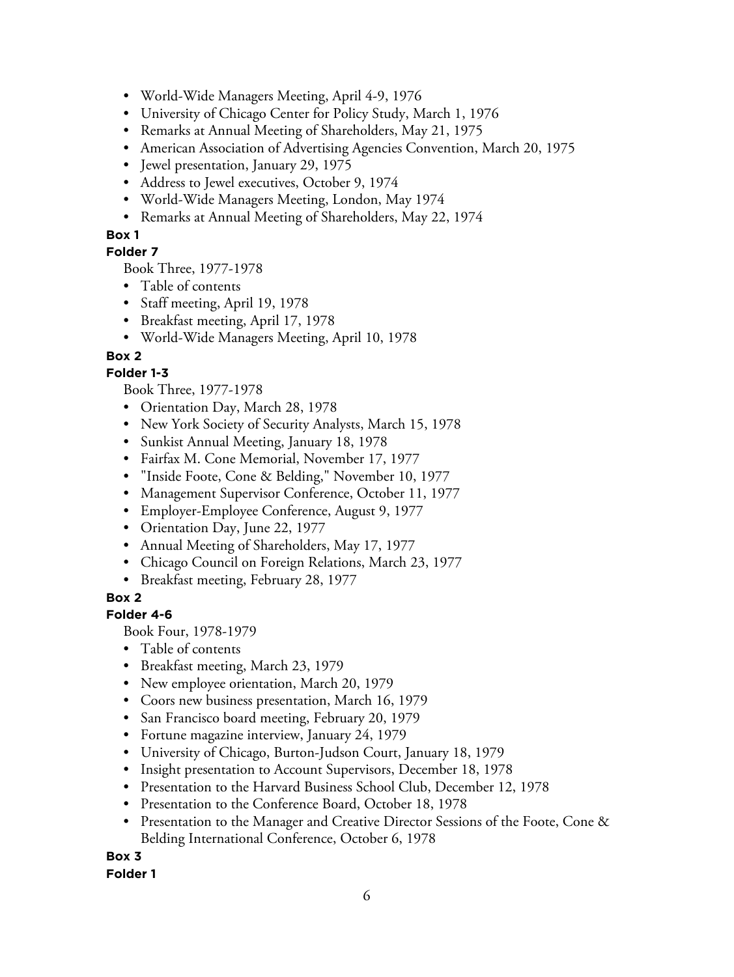- World-Wide Managers Meeting, April 4-9, 1976
- University of Chicago Center for Policy Study, March 1, 1976
- Remarks at Annual Meeting of Shareholders, May 21, 1975
- American Association of Advertising Agencies Convention, March 20, 1975
- Jewel presentation, January 29, 1975
- Address to Jewel executives, October 9, 1974
- World-Wide Managers Meeting, London, May 1974
- Remarks at Annual Meeting of Shareholders, May 22, 1974

## **Box 1**

## **Folder 7**

Book Three, 1977-1978

- Table of contents
- Staff meeting, April 19, 1978
- Breakfast meeting, April 17, 1978
- World-Wide Managers Meeting, April 10, 1978

## **Box 2**

## **Folder 1-3**

Book Three, 1977-1978

- Orientation Day, March 28, 1978
- New York Society of Security Analysts, March 15, 1978
- Sunkist Annual Meeting, January 18, 1978
- Fairfax M. Cone Memorial, November 17, 1977
- "Inside Foote, Cone & Belding," November 10, 1977
- Management Supervisor Conference, October 11, 1977
- Employer-Employee Conference, August 9, 1977
- Orientation Day, June 22, 1977
- Annual Meeting of Shareholders, May 17, 1977
- Chicago Council on Foreign Relations, March 23, 1977
- Breakfast meeting, February 28, 1977

## **Box 2**

## **Folder 4-6**

Book Four, 1978-1979

- Table of contents
- Breakfast meeting, March 23, 1979
- New employee orientation, March 20, 1979
- Coors new business presentation, March 16, 1979
- San Francisco board meeting, February 20, 1979
- Fortune magazine interview, January 24, 1979
- University of Chicago, Burton-Judson Court, January 18, 1979
- Insight presentation to Account Supervisors, December 18, 1978
- Presentation to the Harvard Business School Club, December 12, 1978
- Presentation to the Conference Board, October 18, 1978
- Presentation to the Manager and Creative Director Sessions of the Foote, Cone & Belding International Conference, October 6, 1978

**Box 3 Folder 1**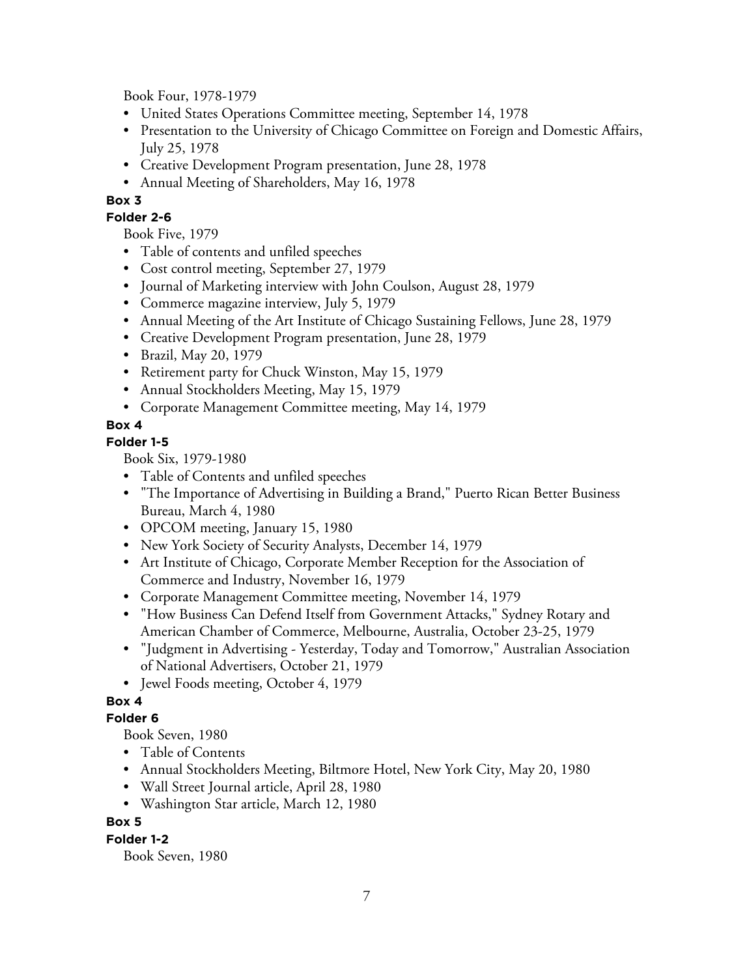Book Four, 1978-1979

- United States Operations Committee meeting, September 14, 1978
- Presentation to the University of Chicago Committee on Foreign and Domestic Affairs, July 25, 1978
- Creative Development Program presentation, June 28, 1978
- Annual Meeting of Shareholders, May 16, 1978

## **Box 3**

## **Folder 2-6**

Book Five, 1979

- Table of contents and unfiled speeches
- Cost control meeting, September 27, 1979
- Journal of Marketing interview with John Coulson, August 28, 1979
- Commerce magazine interview, July 5, 1979
- Annual Meeting of the Art Institute of Chicago Sustaining Fellows, June 28, 1979
- Creative Development Program presentation, June 28, 1979
- Brazil, May 20, 1979
- Retirement party for Chuck Winston, May 15, 1979
- Annual Stockholders Meeting, May 15, 1979
- Corporate Management Committee meeting, May 14, 1979

## **Box 4**

## **Folder 1-5**

Book Six, 1979-1980

- Table of Contents and unfiled speeches
- "The Importance of Advertising in Building a Brand," Puerto Rican Better Business Bureau, March 4, 1980
- OPCOM meeting, January 15, 1980
- New York Society of Security Analysts, December 14, 1979
- Art Institute of Chicago, Corporate Member Reception for the Association of Commerce and Industry, November 16, 1979
- Corporate Management Committee meeting, November 14, 1979
- "How Business Can Defend Itself from Government Attacks," Sydney Rotary and American Chamber of Commerce, Melbourne, Australia, October 23-25, 1979
- "Judgment in Advertising Yesterday, Today and Tomorrow," Australian Association of National Advertisers, October 21, 1979
- Jewel Foods meeting, October 4, 1979

## **Box 4**

## **Folder 6**

Book Seven, 1980

- Table of Contents
- Annual Stockholders Meeting, Biltmore Hotel, New York City, May 20, 1980
- Wall Street Journal article, April 28, 1980
- Washington Star article, March 12, 1980

## **Box 5**

**Folder 1-2**

Book Seven, 1980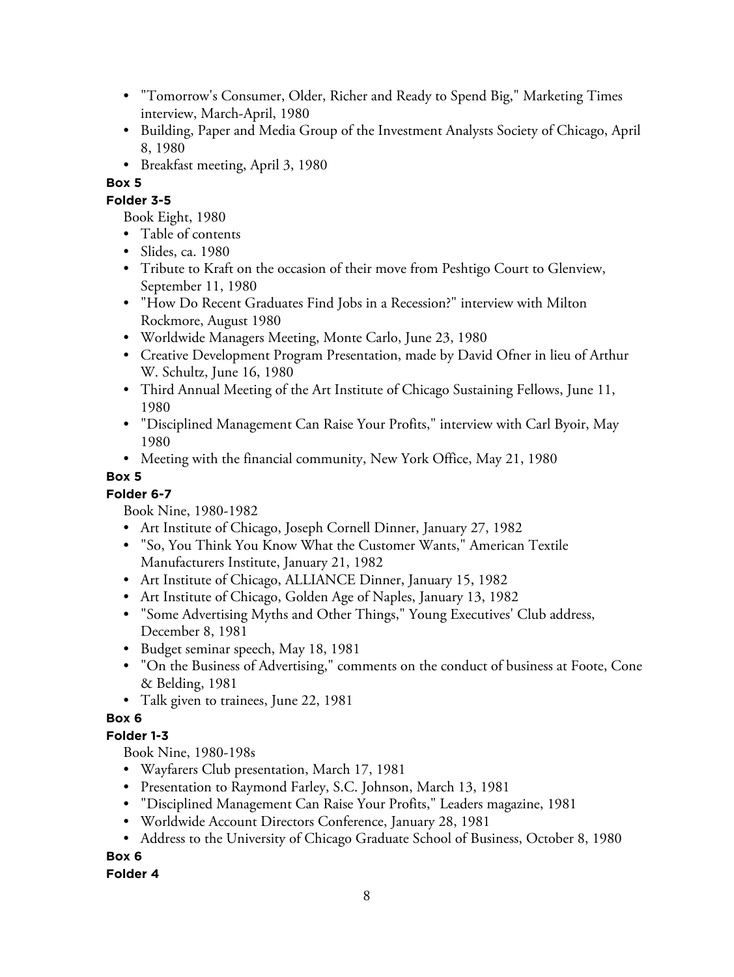- "Tomorrow's Consumer, Older, Richer and Ready to Spend Big," Marketing Times interview, March-April, 1980
- Building, Paper and Media Group of the Investment Analysts Society of Chicago, April 8, 1980
- Breakfast meeting, April 3, 1980

## **Box 5**

## **Folder 3-5**

- Book Eight, 1980
- Table of contents
- Slides, ca. 1980
- Tribute to Kraft on the occasion of their move from Peshtigo Court to Glenview, September 11, 1980
- "How Do Recent Graduates Find Jobs in a Recession?" interview with Milton Rockmore, August 1980
- Worldwide Managers Meeting, Monte Carlo, June 23, 1980
- Creative Development Program Presentation, made by David Ofner in lieu of Arthur W. Schultz, June 16, 1980
- Third Annual Meeting of the Art Institute of Chicago Sustaining Fellows, June 11, 1980
- "Disciplined Management Can Raise Your Profits," interview with Carl Byoir, May 1980
- Meeting with the financial community, New York Office, May 21, 1980

## **Box 5**

## **Folder 6-7**

Book Nine, 1980-1982

- Art Institute of Chicago, Joseph Cornell Dinner, January 27, 1982
- "So, You Think You Know What the Customer Wants," American Textile Manufacturers Institute, January 21, 1982
- Art Institute of Chicago, ALLIANCE Dinner, January 15, 1982
- Art Institute of Chicago, Golden Age of Naples, January 13, 1982
- "Some Advertising Myths and Other Things," Young Executives' Club address, December 8, 1981
- Budget seminar speech, May 18, 1981
- "On the Business of Advertising," comments on the conduct of business at Foote, Cone & Belding, 1981
- Talk given to trainees, June 22, 1981

## **Box 6**

## **Folder 1-3**

Book Nine, 1980-198s

- Wayfarers Club presentation, March 17, 1981
- Presentation to Raymond Farley, S.C. Johnson, March 13, 1981
- "Disciplined Management Can Raise Your Profits," Leaders magazine, 1981
- Worldwide Account Directors Conference, January 28, 1981
- Address to the University of Chicago Graduate School of Business, October 8, 1980

## **Box 6**

## **Folder 4**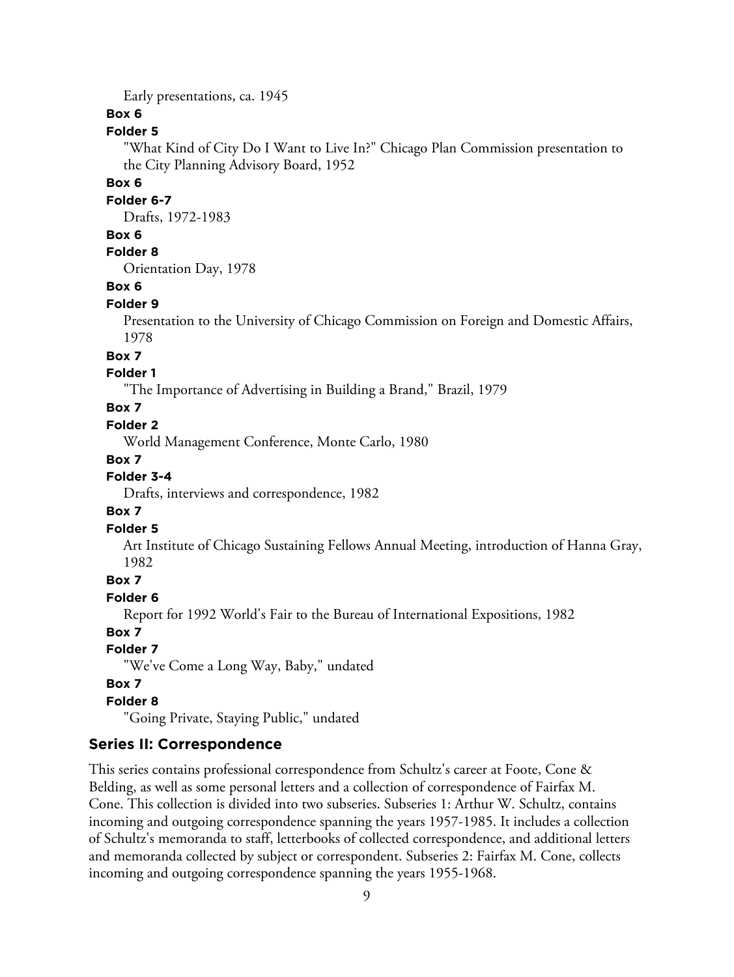Early presentations, ca. 1945

## **Box 6**

#### **Folder 5**

"What Kind of City Do I Want to Live In?" Chicago Plan Commission presentation to the City Planning Advisory Board, 1952

#### **Box 6**

#### **Folder 6-7**

Drafts, 1972-1983

## **Box 6**

## **Folder 8**

Orientation Day, 1978

## **Box 6**

#### **Folder 9**

Presentation to the University of Chicago Commission on Foreign and Domestic Affairs, 1978

#### **Box 7**

## **Folder 1**

"The Importance of Advertising in Building a Brand," Brazil, 1979

## **Box 7**

#### **Folder 2**

World Management Conference, Monte Carlo, 1980

#### **Box 7**

## **Folder 3-4**

Drafts, interviews and correspondence, 1982

## **Box 7**

#### **Folder 5**

Art Institute of Chicago Sustaining Fellows Annual Meeting, introduction of Hanna Gray, 1982

## **Box 7**

**Folder 6**

Report for 1992 World's Fair to the Bureau of International Expositions, 1982

## **Box 7**

#### **Folder 7**

"We've Come a Long Way, Baby," undated

#### **Box 7**

#### **Folder 8**

"Going Private, Staying Public," undated

## **Series II: Correspondence**

This series contains professional correspondence from Schultz's career at Foote, Cone & Belding, as well as some personal letters and a collection of correspondence of Fairfax M. Cone. This collection is divided into two subseries. Subseries 1: Arthur W. Schultz, contains incoming and outgoing correspondence spanning the years 1957-1985. It includes a collection of Schultz's memoranda to staff, letterbooks of collected correspondence, and additional letters and memoranda collected by subject or correspondent. Subseries 2: Fairfax M. Cone, collects incoming and outgoing correspondence spanning the years 1955-1968.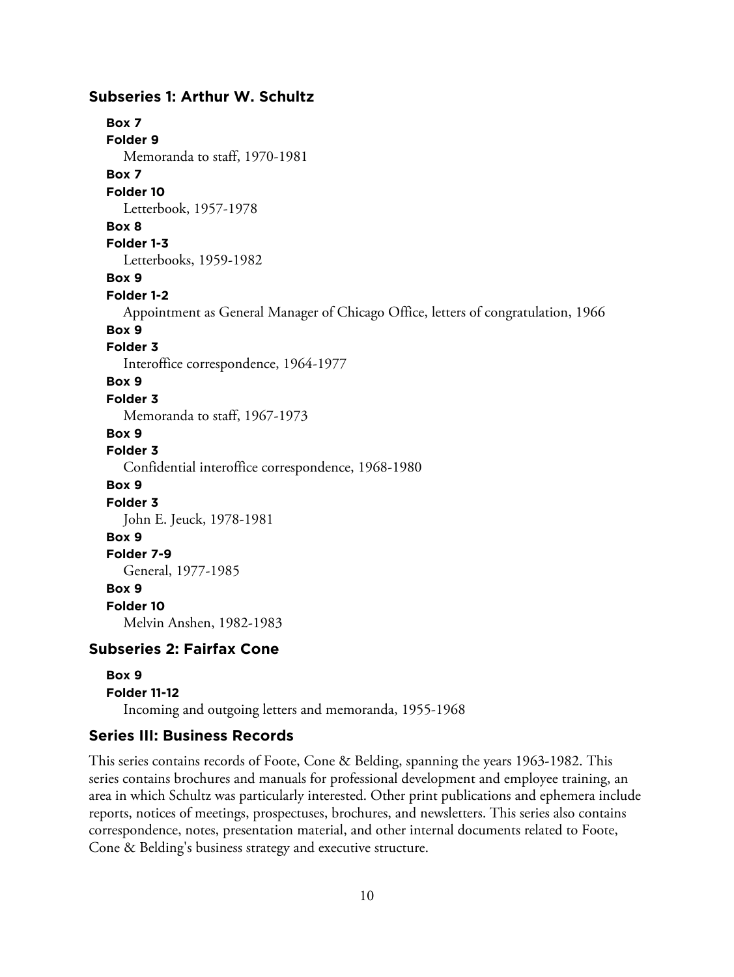## **Subseries 1: Arthur W. Schultz**

**Box 7**

**Folder 9** Memoranda to staff, 1970-1981

**Box 7**

**Folder 10**

Letterbook, 1957-1978

**Box 8**

**Folder 1-3**

Letterbooks, 1959-1982

**Box 9**

**Folder 1-2**

Appointment as General Manager of Chicago Office, letters of congratulation, 1966

#### **Box 9**

**Folder 3**

Interoffice correspondence, 1964-1977

## **Box 9**

**Folder 3**

Memoranda to staff, 1967-1973

**Box 9**

## **Folder 3**

Confidential interoffice correspondence, 1968-1980

**Box 9**

**Folder 3**

John E. Jeuck, 1978-1981

## **Box 9**

**Folder 7-9**

General, 1977-1985

## **Box 9**

**Folder 10**

Melvin Anshen, 1982-1983

## **Subseries 2: Fairfax Cone**

# **Box 9 Folder 11-12** Incoming and outgoing letters and memoranda, 1955-1968

## **Series III: Business Records**

This series contains records of Foote, Cone & Belding, spanning the years 1963-1982. This series contains brochures and manuals for professional development and employee training, an area in which Schultz was particularly interested. Other print publications and ephemera include reports, notices of meetings, prospectuses, brochures, and newsletters. This series also contains correspondence, notes, presentation material, and other internal documents related to Foote, Cone & Belding's business strategy and executive structure.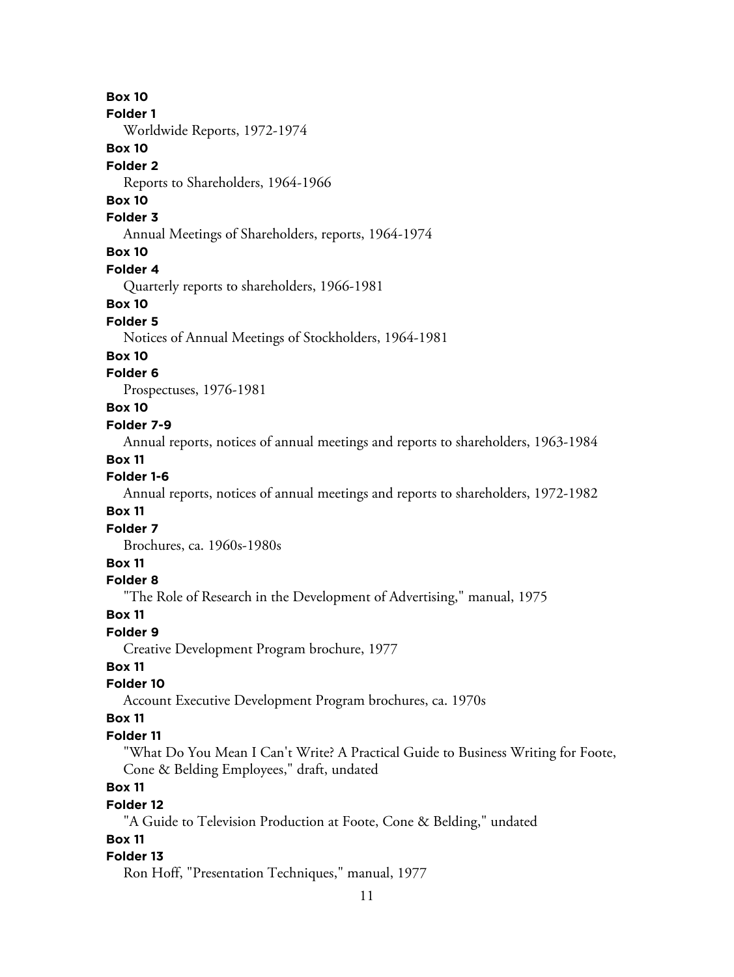## **Box 10**

#### **Folder 1**

Worldwide Reports, 1972-1974

## **Box 10**

#### **Folder 2**

Reports to Shareholders, 1964-1966

# **Box 10**

#### **Folder 3**

Annual Meetings of Shareholders, reports, 1964-1974

## **Box 10**

#### **Folder 4**

Quarterly reports to shareholders, 1966-1981

#### **Box 10**

#### **Folder 5**

Notices of Annual Meetings of Stockholders, 1964-1981

#### **Box 10**

## **Folder 6**

Prospectuses, 1976-1981

## **Box 10**

## **Folder 7-9**

Annual reports, notices of annual meetings and reports to shareholders, 1963-1984

## **Box 11**

## **Folder 1-6**

Annual reports, notices of annual meetings and reports to shareholders, 1972-1982

## **Box 11**

#### **Folder 7**

Brochures, ca. 1960s-1980s

## **Box 11**

#### **Folder 8**

"The Role of Research in the Development of Advertising," manual, 1975

#### **Box 11**

#### **Folder 9**

Creative Development Program brochure, 1977

## **Box 11**

## **Folder 10**

Account Executive Development Program brochures, ca. 1970s

## **Box 11**

#### **Folder 11**

"What Do You Mean I Can't Write? A Practical Guide to Business Writing for Foote, Cone & Belding Employees," draft, undated

# **Box 11**

## **Folder 12**

"A Guide to Television Production at Foote, Cone & Belding," undated

## **Box 11**

#### **Folder 13**

Ron Hoff, "Presentation Techniques," manual, 1977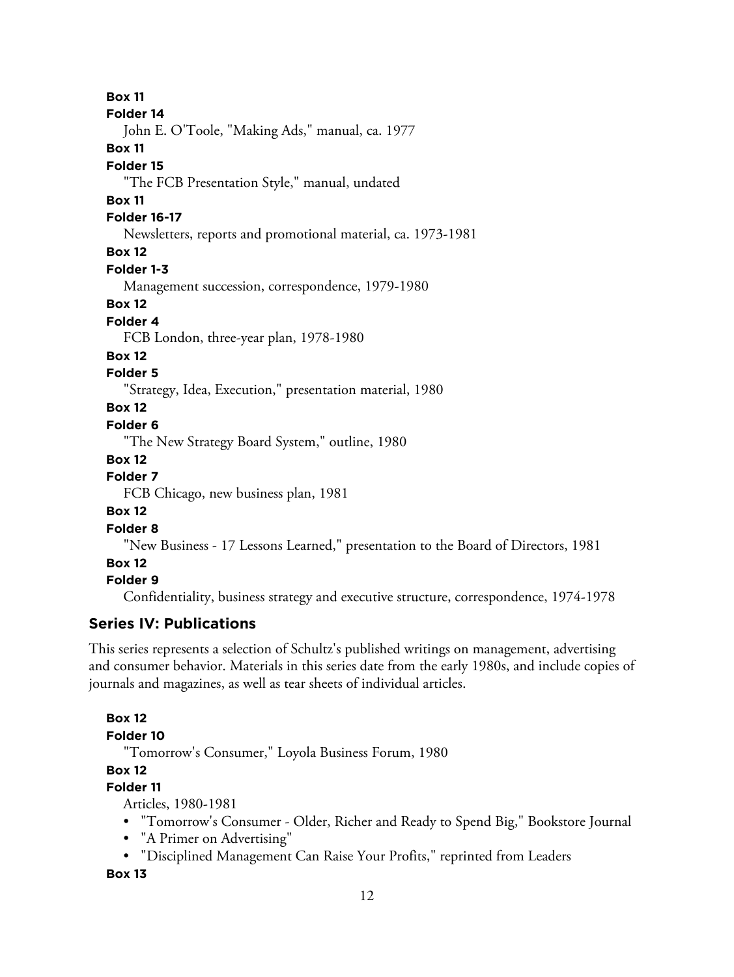**Box 11 Folder 14** John E. O'Toole, "Making Ads," manual, ca. 1977 **Box 11 Folder 15** "The FCB Presentation Style," manual, undated **Box 11 Folder 16-17** Newsletters, reports and promotional material, ca. 1973-1981 **Box 12 Folder 1-3** Management succession, correspondence, 1979-1980 **Box 12 Folder 4** FCB London, three-year plan, 1978-1980 **Box 12 Folder 5** "Strategy, Idea, Execution," presentation material, 1980 **Box 12 Folder 6** "The New Strategy Board System," outline, 1980 **Box 12 Folder 7** FCB Chicago, new business plan, 1981 **Box 12 Folder 8** "New Business - 17 Lessons Learned," presentation to the Board of Directors, 1981 **Box 12 Folder 9** Confidentiality, business strategy and executive structure, correspondence, 1974-1978 **Series IV: Publications** This series represents a selection of Schultz's published writings on management, advertising

and consumer behavior. Materials in this series date from the early 1980s, and include copies of journals and magazines, as well as tear sheets of individual articles.

## **Box 12**

```
Folder 10
```
"Tomorrow's Consumer," Loyola Business Forum, 1980

# **Box 12**

## **Folder 11**

Articles, 1980-1981

- "Tomorrow's Consumer Older, Richer and Ready to Spend Big," Bookstore Journal
- "A Primer on Advertising"
- "Disciplined Management Can Raise Your Profits," reprinted from Leaders

**Box 13**